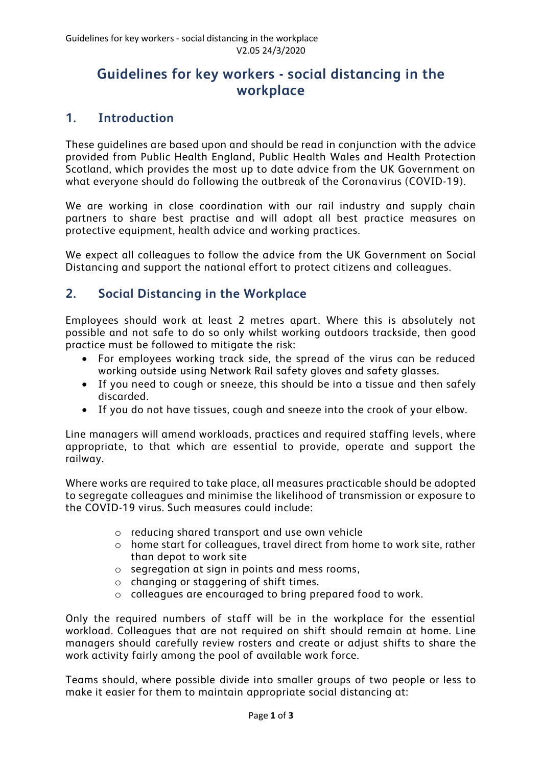## **Guidelines for key workers - social distancing in the workplace**

## **1. Introduction**

These guidelines are based upon and should be read in conjunction with the advice provided from Public Health England, Public Health Wales and Health Protection Scotland, which provides the most up to date advice from the UK Government on what everyone should do following the outbreak of the Coronavirus (COVID-19).

We are working in close coordination with our rail industry and supply chain partners to share best practise and will adopt all best practice measures on protective equipment, health advice and working practices.

We expect all colleagues to follow the advice from the UK Government on Social Distancing and support the national effort to protect citizens and colleagues.

## **2. Social Distancing in the Workplace**

Employees should work at least 2 metres apart. Where this is absolutely not possible and not safe to do so only whilst working outdoors trackside, then good practice must be followed to mitigate the risk:

- For employees working track side, the spread of the virus can be reduced working outside using Network Rail safety gloves and safety glasses.
- If you need to cough or sneeze, this should be into a tissue and then safely discarded.
- If you do not have tissues, cough and sneeze into the crook of your elbow.

Line managers will amend workloads, practices and required staffing levels, where appropriate, to that which are essential to provide, operate and support the railway.

Where works are required to take place, all measures practicable should be adopted to segregate colleagues and minimise the likelihood of transmission or exposure to the COVID-19 virus. Such measures could include:

- o reducing shared transport and use own vehicle
- o home start for colleagues, travel direct from home to work site, rather than depot to work site
- o segregation at sign in points and mess rooms,
- o changing or staggering of shift times.
- o colleagues are encouraged to bring prepared food to work.

Only the required numbers of staff will be in the workplace for the essential workload. Colleagues that are not required on shift should remain at home. Line managers should carefully review rosters and create or adjust shifts to share the work activity fairly among the pool of available work force.

Teams should, where possible divide into smaller groups of two people or less to make it easier for them to maintain appropriate social distancing at: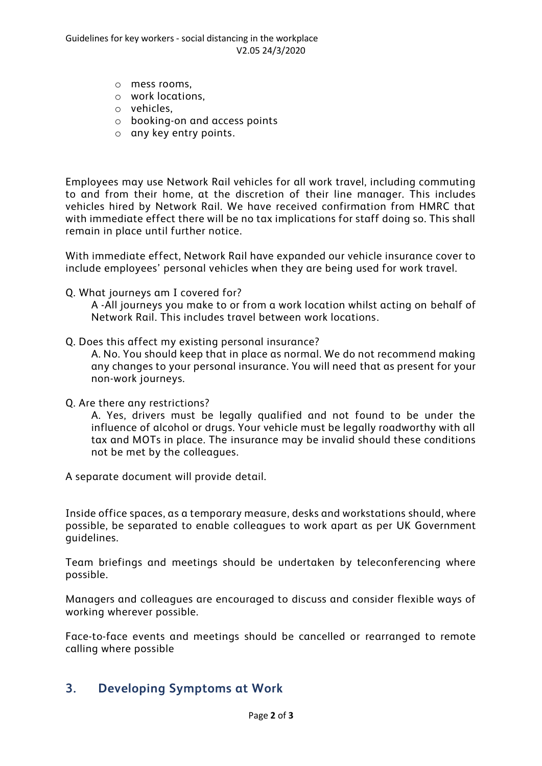- o mess rooms,
- o work locations,
- o vehicles,
- o booking-on and access points
- o any key entry points.

Employees may use Network Rail vehicles for all work travel, including commuting to and from their home, at the discretion of their line manager. This includes vehicles hired by Network Rail. We have received confirmation from HMRC that with immediate effect there will be no tax implications for staff doing so. This shall remain in place until further notice.

With immediate effect, Network Rail have expanded our vehicle insurance cover to include employees' personal vehicles when they are being used for work travel.

Q. What journeys am I covered for?

A -All journeys you make to or from a work location whilst acting on behalf of Network Rail. This includes travel between work locations.

Q. Does this affect my existing personal insurance?

A. No. You should keep that in place as normal. We do not recommend making any changes to your personal insurance. You will need that as present for your non-work journeys.

Q. Are there any restrictions?

A. Yes, drivers must be legally qualified and not found to be under the influence of alcohol or drugs. Your vehicle must be legally roadworthy with all tax and MOTs in place. The insurance may be invalid should these conditions not be met by the colleagues.

A separate document will provide detail.

Inside office spaces, as a temporary measure, desks and workstations should, where possible, be separated to enable colleagues to work apart as per UK Government guidelines.

Team briefings and meetings should be undertaken by teleconferencing where possible.

Managers and colleagues are encouraged to discuss and consider flexible ways of working wherever possible.

Face-to-face events and meetings should be cancelled or rearranged to remote calling where possible

## **3. Developing Symptoms at Work**